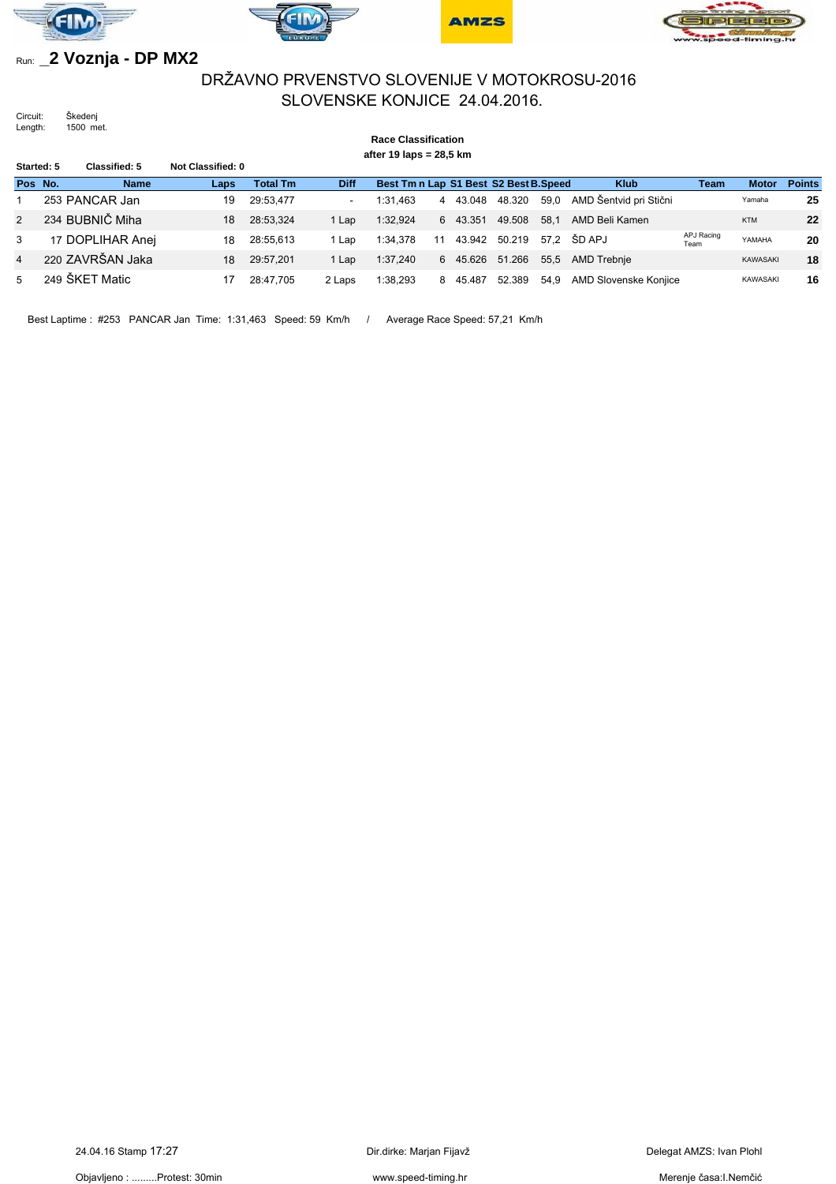







# Run: **\_2 Voznja - DP MX2**

## DRŽAVNO PRVENSTVO SLOVENIJE V MOTOKROSU-2016 SLOVENSKE KONJICE 24.04.2016.

Circuit: Škedenj Length: 1500 met.

#### **Race Classification after 19 laps = 28,5 km Started: 5 Classified: 5 Not Classified: 0 Pos No. Name Laps Total Tm Diff Best Tm n Lap S1 Best S2 Best B.Speed Klub Team Motor Points** 1 253 PANCAR Jan 19 29:53,477 - 1:31,463 4 43.048 48.320 59,0 AMD Šentvid pri Stični Yamaha **25** 2 234 BUBNIČ Miha 18 28:53,324 1 Lap 1:32,924 6 43.351 49.508 58,1 AMD Beli Kamen KTM **22** 3 17 DOPLIHAR Anej 18 28:55,613 1 Lap 1:34,378 11 43.942 50.219 57,2 ŠD APJ APJ Racing YAMAHA **20** 4 220 ZAVRŠAN Jaka 18 29:57,201 1 Lap 1:37,240 6 45.626 51.266 55,5 AMD Trebnje KAWASAKI **18** 5 249 ŠKET Matic 17 28:47,705 2 Laps 1:38,293 8 45.487 52.389 54,9 AMD Slovenske Konjice KAWASAKI **16**

Best Laptime : #253 PANCAR Jan Time: 1:31,463 Speed: 59 Km/h / Average Race Speed: 57,21 Km/h